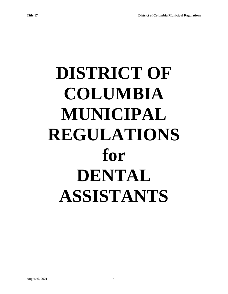# **DISTRICT OF COLUMBIA MUNICIPAL REGULATIONS for DENTAL ASSISTANTS**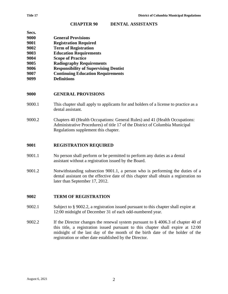#### **CHAPTER 90 DENTAL ASSISTANTS**

| Secs. |                                              |
|-------|----------------------------------------------|
| 9000  | <b>General Provisions</b>                    |
| 9001  | <b>Registration Required</b>                 |
| 9002  | <b>Term of Registration</b>                  |
| 9003  | <b>Education Requirements</b>                |
| 9004  | <b>Scope of Practice</b>                     |
| 9005  | <b>Radiography Requirements</b>              |
| 9006  | <b>Responsibility of Supervising Dentist</b> |
| 9007  | <b>Continuing Education Requirements</b>     |
|       |                                              |

**9099 Definitions**

## **9000 GENERAL PROVISIONS**

- 9000.1 This chapter shall apply to applicants for and holders of a license to practice as a dental assistant.
- 9000.2 Chapters 40 (Health Occupations: General Rules) and 41 (Health Occupations: Administrative Procedures) of title 17 of the District of Columbia Municipal Regulations supplement this chapter.

## **9001 REGISTRATION REQUIRED**

- 9001.1 No person shall perform or be permitted to perform any duties as a dental assistant without a registration issued by the Board.
- 9001.2 Notwithstanding subsection 9001.1, a person who is performing the duties of a dental assistant on the effective date of this chapter shall obtain a registration no later than September 17, 2012.

#### **9002 TERM OF REGISTRATION**

- 9002.1 Subject to § 9002.2, a registration issued pursuant to this chapter shall expire at 12:00 midnight of December 31 of each odd-numbered year.
- 9002.2 If the Director changes the renewal system pursuant to § 4006.3 of chapter 40 of this title, a registration issued pursuant to this chapter shall expire at 12:00 midnight of the last day of the month of the birth date of the holder of the registration or other date established by the Director.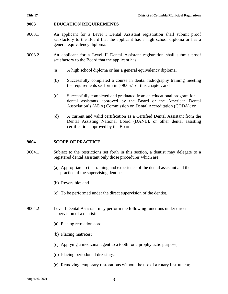## **9003 EDUCATION REQUIREMENTS**

- 9003.1 An applicant for a Level I Dental Assistant registration shall submit proof satisfactory to the Board that the applicant has a high school diploma or has a general equivalency diploma.
- 9003.2 An applicant for a Level II Dental Assistant registration shall submit proof satisfactory to the Board that the applicant has:
	- (a) A high school diploma or has a general equivalency diploma;
	- (b) Successfully completed a course in dental radiography training meeting the requirements set forth in § 9005.1 of this chapter; and
	- (c) Successfully completed and graduated from an educational program for dental assistants approved by the Board or the American Dental Association's (ADA) Commission on Dental Accreditation (CODA); or
	- (d) A current and valid certification as a Certified Dental Assistant from the Dental Assisting National Board (DANB), or other dental assisting certification approved by the Board.

# **9004 SCOPE OF PRACTICE**

- 9004.1 Subject to the restrictions set forth in this section, a dentist may delegate to a registered dental assistant only those procedures which are:
	- (a) Appropriate to the training and experience of the dental assistant and the practice of the supervising dentist;
	- (b) Reversible; and
	- (c) To be performed under the direct supervision of the dentist.
- 9004.2 Level I Dental Assistant may perform the following functions under direct supervision of a dentist:
	- (a) Placing retraction cord;
	- (b) Placing matrices;
	- (c) Applying a medicinal agent to a tooth for a prophylactic purpose;
	- (d) Placing periodontal dressings;
	- (e) Removing temporary restorations without the use of a rotary instrument;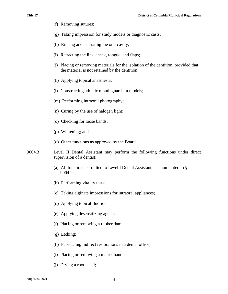- (f) Removing sutures;
- (g) Taking impression for study models or diagnostic casts;
- (h) Rinsing and aspirating the oral cavity;
- (i) Retracting the lips, cheek, tongue, and flaps;
- (j) Placing or removing materials for the isolation of the dentition, provided that the material is not retained by the dentition;
- (k) Applying topical anesthesia;
- (l) Constructing athletic mouth guards in models;
- (m) Performing intraoral photography;
- (n) Curing by the use of halogen light;
- (o) Checking for loose bands;
- (p) Whitening; and
- (q) Other functions as approved by the Board.
- 9004.3 Level II Dental Assistant may perform the following functions under direct supervision of a dentist:
	- (a) All functions permitted to Level I Dental Assistant, as enumerated in § 9004.2;
	- (b) Performing vitality tests;
	- (c) Taking alginate impressions for intraoral appliances;
	- (d) Applying topical fluoride;
	- (e) Applying desensitizing agents;
	- (f) Placing or removing a rubber dam;
	- (g) Etching;
	- (h) Fabricating indirect restorations in a dental office;
	- (i) Placing or removing a matrix band;
	- (j) Drying a root canal;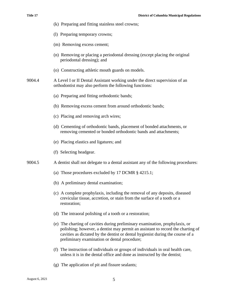- (k) Preparing and fitting stainless steel crowns; (l) Preparing temporary crowns; (m) Removing excess cement; (n) Removing or placing a periodontal dressing (except placing the original periodontal dressing); and (o) Constructing athletic mouth guards on models. 9004.4 A Level I or II Dental Assistant working under the direct supervision of an orthodontist may also perform the following functions: (a) Preparing and fitting orthodontic bands; (b) Removing excess cement from around orthodontic bands; (c) Placing and removing arch wires; (d) Cementing of orthodontic bands, placement of bonded attachments, or removing cemented or bonded orthodontic bands and attachments; (e) Placing elastics and ligatures; and (f) Selecting headgear. 9004.5 A dentist shall not delegate to a dental assistant any of the following procedures: (a) Those procedures excluded by 17 DCMR § 4215.1; (b) A preliminary dental examination; (c) A complete prophylaxis, including the removal of any deposits, diseased crevicular tissue, accretion, or stain from the surface of a tooth or a restoration; (d) The intraoral polishing of a tooth or a restoration; (e) The charting of cavities during preliminary examination, prophylaxis, or polishing; however, a dentist may permit an assistant to record the charting of cavities as dictated by the dentist or dental hygienist during the course of a preliminary examination or dental procedure; (f) The instruction of individuals or groups of individuals in oral health care, unless it is in the dental office and done as instructed by the dentist;
	- (g) The application of pit and fissure sealants;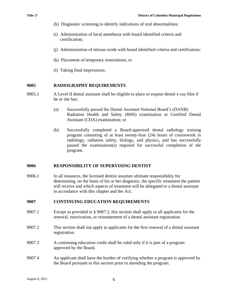- (h) Diagnostic screening to identify indications of oral abnormalities;
- (i) Administration of local anesthesia with board identified criteria and certification;
- (j) Administration of nitrous oxide with board identified criteria and certification;
- (k) Placement of temporary restorations; or
- (l) Taking final impressions.

# **9005 RADIOGRAPHY REQUIREMENTS**

- 9005.1 A Level II dental assistant shall be eligible to place or expose dental x-ray film if he or she has:
	- (a) Successfully passed the Dental Assistant National Board's (DANB) Radiation Health and Safety (RHS) examination or Certified Dental Assistant (CDA) examination; or
	- (b) Successfully completed a Board-approved dental radiology training program consisting of at least twenty-four (24) hours of coursework in radiology, radiation safety, biology, and physics, and has successfully passed the examination(s) required for successful completion of the program.

#### **9006 RESPONSIBILITY OF SUPERVISING DENTIST**

9006.1 In all instances, the licensed dentist assumes ultimate responsibility for determining, on the basis of his or her diagnosis, the specific treatment the patient will receive and which aspects of treatment will be delegated to a dental assistant in accordance with this chapter and the Act.

# **9007 CONTINUING EDUCATION REQUIREMENTS**

- 9007.1 Except as provided in § 9007.2, this section shall apply to all applicants for the renewal, reactivation, or reinstatement of a dental assistant registration.
- 9007.2 This section shall not apply to applicants for the first renewal of a dental assistant registration.
- 9007.3 A continuing education credit shall be valid only if it is part of a program approved by the Board.
- 9007.4 An applicant shall have the burden of verifying whether a program is approved by the Board pursuant to this section prior to attending the program.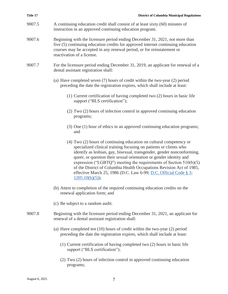| Title 17 | <b>District of Columbia Municipal Regulations</b>                                                                                                                                                                                                                                                                                                                                                                                                                                                                              |
|----------|--------------------------------------------------------------------------------------------------------------------------------------------------------------------------------------------------------------------------------------------------------------------------------------------------------------------------------------------------------------------------------------------------------------------------------------------------------------------------------------------------------------------------------|
| 9007.5   | A continuing education credit shall consist of at least sixty (60) minutes of<br>instruction in an approved continuing education program.                                                                                                                                                                                                                                                                                                                                                                                      |
| 9007.6   | Beginning with the licensure period ending December 31, 2021, not more than<br>five (5) continuing education credits for approved internet continuing education<br>courses may be accepted in any renewal period, or for reinstatement or<br>reactivation of a license.                                                                                                                                                                                                                                                        |
| 9007.7   | For the licensure period ending December 31, 2019, an applicant for renewal of a<br>dental assistant registration shall:                                                                                                                                                                                                                                                                                                                                                                                                       |
|          | (a) Have completed seven (7) hours of credit within the two-year (2) period<br>preceding the date the registration expires, which shall include at least:                                                                                                                                                                                                                                                                                                                                                                      |
|          | (1) Current certification of having completed two (2) hours in basic life<br>support ("BLS certification");                                                                                                                                                                                                                                                                                                                                                                                                                    |
|          | (2) Two (2) hours of infection control in approved continuing education<br>programs;                                                                                                                                                                                                                                                                                                                                                                                                                                           |
|          | (3) One (1) hour of ethics in an approved continuing education programs;<br>and                                                                                                                                                                                                                                                                                                                                                                                                                                                |
|          | (4) Two (2) hours of continuing education on cultural competency or<br>specialized clinical training focusing on patients or clients who<br>identify as lesbian, gay, bisexual, transgender, gender nonconforming,<br>queer, or question their sexual orientation or gender identity and<br>expression ("LGBTQ") meeting the requirements of Section $510(b)(5)$<br>of the District of Columbia Health Occupations Revision Act of 1985,<br>effective March 25, 1986 (D.C. Law 6-99; D.C. Official Code § 3-<br>1205.10(b)(5); |
|          | (b) Attest to completion of the required continuing education credits on the<br>renewal application form; and                                                                                                                                                                                                                                                                                                                                                                                                                  |
|          | (c) Be subject to a random audit.                                                                                                                                                                                                                                                                                                                                                                                                                                                                                              |
| 9007.8   | Beginning with the licensure period ending December 31, 2021, an applicant for<br>renewal of a dental assistant registration shall:                                                                                                                                                                                                                                                                                                                                                                                            |
|          | (a) Have completed ten $(10)$ hours of credit within the two-year $(2)$ period<br>preceding the date the registration expires, which shall include at least:                                                                                                                                                                                                                                                                                                                                                                   |
|          | (1) Current certification of having completed two (2) hours in basic life<br>support ("BLS certification");                                                                                                                                                                                                                                                                                                                                                                                                                    |
|          | (2) Two (2) hours of infection control in approved continuing education<br>programs;                                                                                                                                                                                                                                                                                                                                                                                                                                           |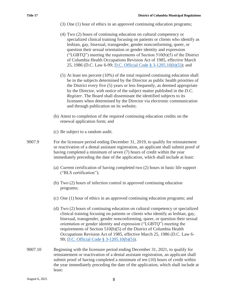- (3) One (1) hour of ethics in an approved continuing education programs;
- (4) Two (2) hours of continuing education on cultural competency or specialized clinical training focusing on patients or clients who identify as lesbian, gay, bisexual, transgender, gender nonconforming, queer, or question their sexual orientation or gender identity and expression ("LGBTQ") meeting the requirements of Section  $510(b)(5)$  of the District of Columbia Health Occupations Revision Act of 1985, effective March 25, 1986 (D.C. Law 6-99; [D.C. Official Code § 3-1205.10\(b\)\(5\)\)](https://1.next.westlaw.com/Link/Document/FullText?findType=L&pubNum=1000869&cite=DCCODES3-1205.10&originatingDoc=NA3524BA05D3911EAADCFAA509F2BBAA7&refType=SP&originationContext=document&transitionType=DocumentItem&contextData=(sc.History*oc.Document)#co_pp_277b00009cfc7); and
- (5) At least ten percent (10%) of the total required continuing education shall be in the subjects determined by the Director as public health priorities of the District every five (5) years or less frequently, as deemed appropriate by the Director, with notice of the subject matter published in the *D.C. Register*. The Board shall disseminate the identified subjects to its licensees when determined by the Director via electronic communication and through publication on its website;
- (b) Attest to completion of the required continuing education credits on the renewal application form; and
- (c) Be subject to a random audit.
- 9007.9 For the licensure period ending December 31, 2019, to qualify for reinstatement or reactivation of a dental assistant registration, an applicant shall submit proof of having completed a minimum of seven (7) hours of credit within the year immediately preceding the date of the application, which shall include at least:
	- (a) Current certification of having completed two (2) hours in basic life support ("BLS certification");
	- (b) Two (2) hours of infection control in approved continuing education programs;
	- (c) One (1) hour of ethics in an approved continuing education programs; and
	- (d) Two (2) hours of continuing education on cultural competency or specialized clinical training focusing on patients or clients who identify as lesbian, gay, bisexual, transgender, gender nonconforming, queer, or question their sexual orientation or gender identity and expression ("LGBTQ") meeting the requirements of Section 510(b)(5) of the District of Columbia Health Occupations Revision Act of 1985, effective March 25, 1986 (D.C. Law 6- 99; [D.C. Official Code § 3-1205.10\(b\)\(5\)\)](https://1.next.westlaw.com/Link/Document/FullText?findType=L&pubNum=1000869&cite=DCCODES3-1205.10&originatingDoc=NA3524BA05D3911EAADCFAA509F2BBAA7&refType=SP&originationContext=document&transitionType=DocumentItem&contextData=(sc.History*oc.Document)#co_pp_277b00009cfc7).
- 9007.10 Beginning with the licensure period ending December 31, 2021, to qualify for reinstatement or reactivation of a dental assistant registration, an applicant shall submit proof of having completed a minimum of ten (10) hours of credit within the year immediately preceding the date of the application, which shall include at least: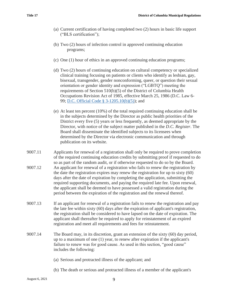- (a) Current certification of having completed two (2) hours in basic life support ("BLS certification");
- (b) Two (2) hours of infection control in approved continuing education programs;
- (c) One (1) hour of ethics in an approved continuing education programs;
- (d) Two (2) hours of continuing education on cultural competency or specialized clinical training focusing on patients or clients who identify as lesbian, gay, bisexual, transgender, gender nonconforming, queer, or question their sexual orientation or gender identity and expression ("LGBTQ") meeting the requirements of Section 510(b)(5) of the District of Columbia Health Occupations Revision Act of 1985, effective March 25, 1986 (D.C. Law 6- 99; [D.C. Official Code § 3-1205.10\(b\)\(5\)\)](https://1.next.westlaw.com/Link/Document/FullText?findType=L&pubNum=1000869&cite=DCCODES3-1205.10&originatingDoc=NA3524BA05D3911EAADCFAA509F2BBAA7&refType=SP&originationContext=document&transitionType=DocumentItem&contextData=(sc.History*oc.Document)#co_pp_277b00009cfc7); and
- (e) At least ten percent (10%) of the total required continuing education shall be in the subjects determined by the Director as public health priorities of the District every five (5) years or less frequently, as deemed appropriate by the Director, with notice of the subject matter published in the *D.C. Register*. The Board shall disseminate the identified subjects to its licensees when determined by the Director via electronic communication and through publication on its website.
- 9007.11 Applicants for renewal of a registration shall only be required to prove completion of the required continuing education credits by submitting proof if requested to do so as part of the random audit, or if otherwise requested to do so by the Board. 9007.12 An applicant for renewal of a registration who fails to renew the registration by the date the registration expires may renew the registration for up to sixty (60) days after the date of expiration by completing the application, submitting the required supporting documents, and paying the required late fee. Upon renewal, the applicant shall be deemed to have possessed a valid registration during the

period between the expiration of the registration and the renewal thereof.

- 9007.13 If an applicant for renewal of a registration fails to renew the registration and pay the late fee within sixty (60) days after the expiration of applicant's registration, the registration shall be considered to have lapsed on the date of expiration. The applicant shall thereafter be required to apply for reinstatement of an expired registration and meet all requirements and fees for reinstatement.
- 9007.14 The Board may, in its discretion, grant an extension of the sixty (60) day period, up to a maximum of one (1) year, to renew after expiration if the applicant's failure to renew was for good cause. As used in this section, "good cause" includes the following:
	- (a) Serious and protracted illness of the applicant; and
	- (b) The death or serious and protracted illness of a member of the applicant's